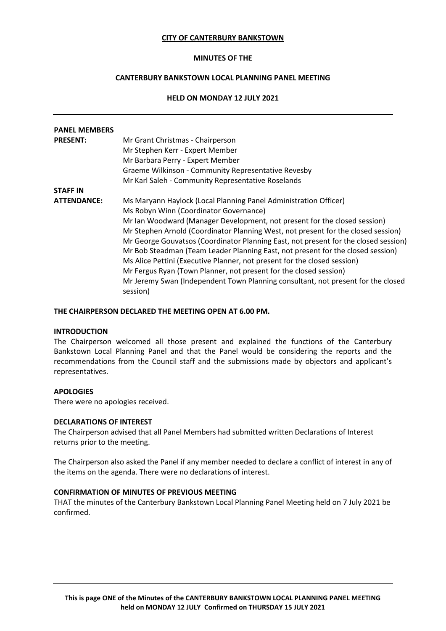### **CITY OF CANTERBURY BANKSTOWN**

### **MINUTES OF THE**

# **CANTERBURY BANKSTOWN LOCAL PLANNING PANEL MEETING**

## <span id="page-0-0"></span>**HELD ON MONDAY 12 JULY 2021**

| <b>PANEL MEMBERS</b> |                                                                                              |
|----------------------|----------------------------------------------------------------------------------------------|
| <b>PRESENT:</b>      | Mr Grant Christmas - Chairperson                                                             |
|                      | Mr Stephen Kerr - Expert Member                                                              |
|                      | Mr Barbara Perry - Expert Member                                                             |
|                      | Graeme Wilkinson - Community Representative Revesby                                          |
|                      | Mr Karl Saleh - Community Representative Roselands                                           |
| <b>STAFF IN</b>      |                                                                                              |
| <b>ATTENDANCE:</b>   | Ms Maryann Haylock (Local Planning Panel Administration Officer)                             |
|                      | Ms Robyn Winn (Coordinator Governance)                                                       |
|                      | Mr Ian Woodward (Manager Development, not present for the closed session)                    |
|                      | Mr Stephen Arnold (Coordinator Planning West, not present for the closed session)            |
|                      | Mr George Gouvatsos (Coordinator Planning East, not present for the closed session)          |
|                      | Mr Bob Steadman (Team Leader Planning East, not present for the closed session)              |
|                      | Ms Alice Pettini (Executive Planner, not present for the closed session)                     |
|                      | Mr Fergus Ryan (Town Planner, not present for the closed session)                            |
|                      | Mr Jeremy Swan (Independent Town Planning consultant, not present for the closed<br>session) |

#### **THE CHAIRPERSON DECLARED THE MEETING OPEN AT 6.00 PM.**

#### **INTRODUCTION**

The Chairperson welcomed all those present and explained the functions of the Canterbury Bankstown Local Planning Panel and that the Panel would be considering the reports and the recommendations from the Council staff and the submissions made by objectors and applicant's representatives.

### **APOLOGIES**

There were no apologies received.

## **DECLARATIONS OF INTEREST**

The Chairperson advised that all Panel Members had submitted written Declarations of Interest returns prior to the meeting.

The Chairperson also asked the Panel if any member needed to declare a conflict of interest in any of the items on the agenda. There were no declarations of interest.

#### **CONFIRMATION OF MINUTES OF PREVIOUS MEETING**

THAT the minutes of the Canterbury Bankstown Local Planning Panel Meeting held on 7 July 2021 be confirmed.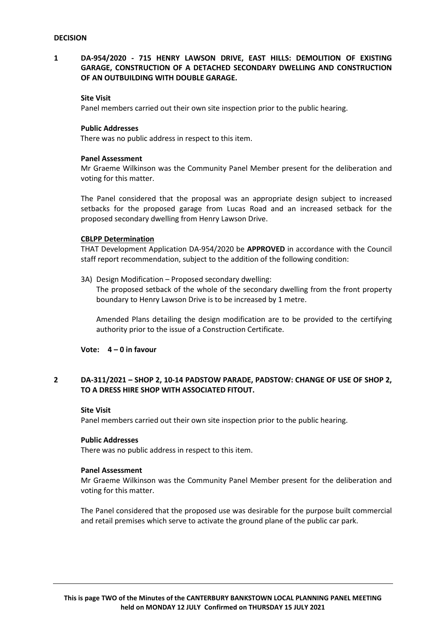# **1 DA-954/2020 - 715 HENRY LAWSON DRIVE, EAST HILLS: DEMOLITION OF EXISTING GARAGE, CONSTRUCTION OF A DETACHED SECONDARY DWELLING AND CONSTRUCTION OF AN OUTBUILDING WITH DOUBLE GARAGE.**

## **Site Visit**

Panel members carried out their own site inspection prior to the public hearing.

## **Public Addresses**

There was no public address in respect to this item.

#### **Panel Assessment**

Mr Graeme Wilkinson was the Community Panel Member present for the deliberation and voting for this matter.

The Panel considered that the proposal was an appropriate design subject to increased setbacks for the proposed garage from Lucas Road and an increased setback for the proposed secondary dwelling from Henry Lawson Drive.

## **CBLPP Determination**

THAT Development Application DA-954/2020 be **APPROVED** in accordance with the Council staff report recommendation, subject to the addition of the following condition:

3A) Design Modification – Proposed secondary dwelling:

The proposed setback of the whole of the secondary dwelling from the front property boundary to Henry Lawson Drive is to be increased by 1 metre.

Amended Plans detailing the design modification are to be provided to the certifying authority prior to the issue of a Construction Certificate.

## **Vote: 4 – 0 in favour**

# **2 DA-311/2021 – SHOP 2, 10-14 PADSTOW PARADE, PADSTOW: CHANGE OF USE OF SHOP 2, TO A DRESS HIRE SHOP WITH ASSOCIATED FITOUT.**

#### **Site Visit**

Panel members carried out their own site inspection prior to the public hearing.

#### **Public Addresses**

There was no public address in respect to this item.

### **Panel Assessment**

Mr Graeme Wilkinson was the Community Panel Member present for the deliberation and voting for this matter.

The Panel considered that the proposed use was desirable for the purpose built commercial and retail premises which serve to activate the ground plane of the public car park.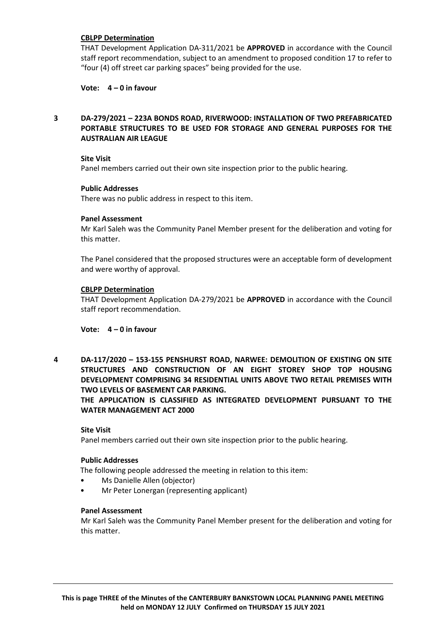## **CBLPP Determination**

THAT Development Application DA-311/2021 be **APPROVED** in accordance with the Council staff report recommendation, subject to an amendment to proposed condition 17 to refer to "four (4) off street car parking spaces" being provided for the use.

## **Vote: 4 – 0 in favour**

# **3 DA-279/2021 – 223A BONDS ROAD, RIVERWOOD: INSTALLATION OF TWO PREFABRICATED PORTABLE STRUCTURES TO BE USED FOR STORAGE AND GENERAL PURPOSES FOR THE AUSTRALIAN AIR LEAGUE**

## **Site Visit**

Panel members carried out their own site inspection prior to the public hearing.

## **Public Addresses**

There was no public address in respect to this item.

#### **Panel Assessment**

Mr Karl Saleh was the Community Panel Member present for the deliberation and voting for this matter.

The Panel considered that the proposed structures were an acceptable form of development and were worthy of approval.

#### **CBLPP Determination**

THAT Development Application DA-279/2021 be **APPROVED** in accordance with the Council staff report recommendation.

# **Vote: 4 – 0 in favour**

**4 DA-117/2020 – 153-155 PENSHURST ROAD, NARWEE: DEMOLITION OF EXISTING ON SITE STRUCTURES AND CONSTRUCTION OF AN EIGHT STOREY SHOP TOP HOUSING DEVELOPMENT COMPRISING 34 RESIDENTIAL UNITS ABOVE TWO RETAIL PREMISES WITH TWO LEVELS OF BASEMENT CAR PARKING.** 

**THE APPLICATION IS CLASSIFIED AS INTEGRATED DEVELOPMENT PURSUANT TO THE WATER MANAGEMENT ACT 2000**

## **Site Visit**

Panel members carried out their own site inspection prior to the public hearing.

#### **Public Addresses**

The following people addressed the meeting in relation to this item:

- Ms Danielle Allen (objector)
- Mr Peter Lonergan (representing applicant)

#### **Panel Assessment**

Mr Karl Saleh was the Community Panel Member present for the deliberation and voting for this matter.